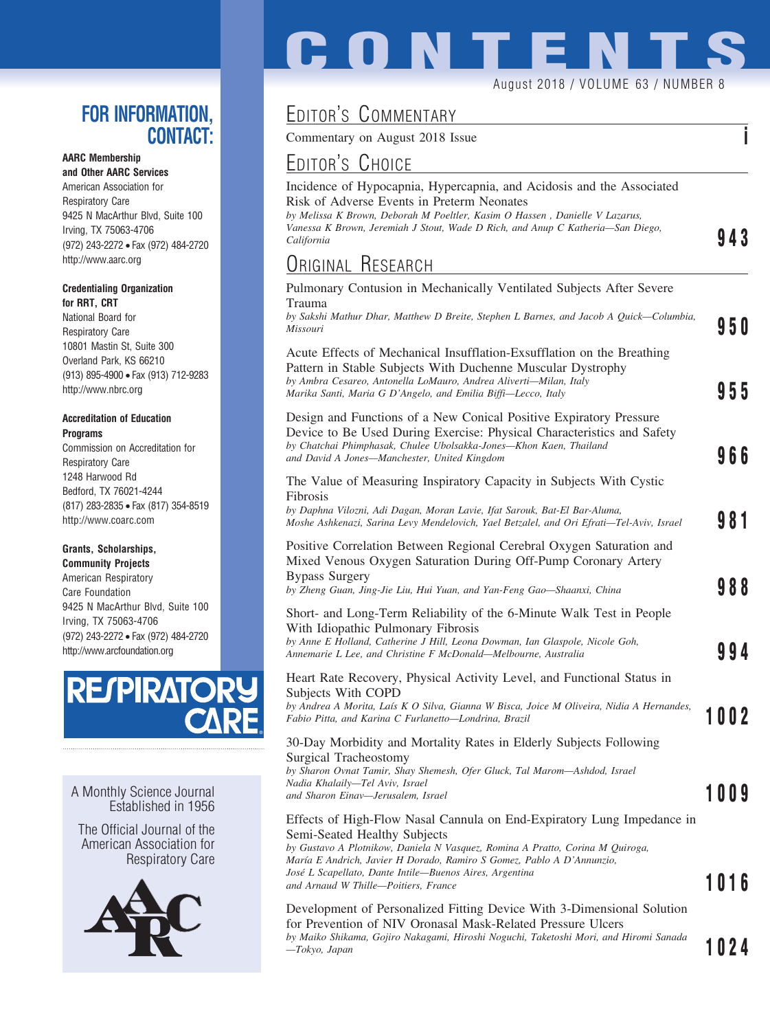## **FOR INFORMATION, CONTACT:**

### **AARC Membership**

**and Other AARC Services** American Association for Respiratory Care 9425 N MacArthur Blvd, Suite 100 Irving, TX 75063-4706 (972) 243-2272 • Fax (972) 484-2720 http://www.aarc.org

#### **Credentialing Organization for RRT, CRT**

National Board for Respiratory Care 10801 Mastin St, Suite 300 Overland Park, KS 66210 (913) 895-4900 • Fax (913) 712-9283 http://www.nbrc.org

#### **Accreditation of Education Programs**

Commission on Accreditation for Respiratory Care 1248 Harwood Rd Bedford, TX 76021-4244 (817) 283-2835 • Fax (817) 354-8519 http://www.coarc.com

### **Grants, Scholarships,**

**Community Projects** American Respiratory Care Foundation 9425 N MacArthur Blvd, Suite 100 Irving, TX 75063-4706 (972) 243-2272 • Fax (972) 484-2720 http://www.arcfoundation.org



A Monthly Science Journal Established in 1956

The Official Journal of the American Association for Respiratory Care



# **CONTENT** August 2018 / VOLUME 63 / NUMBER 8

# EDITOR'S COMMENTARY

Commentary on August 2018 Issue **i**

## <u>Editor's Choice</u>

| EDITOR'S CHOICE                                                                                                                                                                                                                                                                                    |      |
|----------------------------------------------------------------------------------------------------------------------------------------------------------------------------------------------------------------------------------------------------------------------------------------------------|------|
| Incidence of Hypocapnia, Hypercapnia, and Acidosis and the Associated<br>Risk of Adverse Events in Preterm Neonates<br>by Melissa K Brown, Deborah M Poeltler, Kasim O Hassen, Danielle V Lazarus,<br>Vanessa K Brown, Jeremiah J Stout, Wade D Rich, and Anup C Katheria—San Diego,<br>California | 943  |
| <b>URIGINAL RESEARCH</b>                                                                                                                                                                                                                                                                           |      |
| Pulmonary Contusion in Mechanically Ventilated Subjects After Severe<br>Trauma<br>by Sakshi Mathur Dhar, Matthew D Breite, Stephen L Barnes, and Jacob A Quick—Columbia,<br>Missouri                                                                                                               | 95 O |
| Acute Effects of Mechanical Insufflation-Exsufflation on the Breathing<br>Pattern in Stable Subjects With Duchenne Muscular Dystrophy<br>by Ambra Cesareo, Antonella LoMauro, Andrea Aliverti-Milan, Italy<br>Marika Santi, Maria G D'Angelo, and Emilia Biffi-Lecco, Italy                        | 955  |
| Design and Functions of a New Conical Positive Expiratory Pressure<br>Device to Be Used During Exercise: Physical Characteristics and Safety<br>by Chatchai Phimphasak, Chulee Ubolsakka-Jones-Khon Kaen, Thailand<br>and David A Jones-Manchester, United Kingdom                                 | 966  |
| The Value of Measuring Inspiratory Capacity in Subjects With Cystic<br>Fibrosis<br>by Daphna Vilozni, Adi Dagan, Moran Lavie, Ifat Sarouk, Bat-El Bar-Aluma,<br>Moshe Ashkenazi, Sarina Levy Mendelovich, Yael Betzalel, and Ori Efrati-Tel-Aviv, Israel                                           | 981  |
| Positive Correlation Between Regional Cerebral Oxygen Saturation and<br>Mixed Venous Oxygen Saturation During Off-Pump Coronary Artery<br><b>Bypass Surgery</b><br>by Zheng Guan, Jing-Jie Liu, Hui Yuan, and Yan-Feng Gao-Shaanxi, China                                                          | 988  |
| Short- and Long-Term Reliability of the 6-Minute Walk Test in People<br>With Idiopathic Pulmonary Fibrosis<br>by Anne E Holland, Catherine J Hill, Leona Dowman, Ian Glaspole, Nicole Goh,<br>Annemarie L Lee, and Christine F McDonald—Melbourne, Australia                                       | 994  |
| Heart Rate Recovery, Physical Activity Level, and Functional Status in<br>Subjects With COPD<br>by Andrea A Morita, Laís K O Silva, Gianna W Bisca, Joice M Oliveira, Nidia A Hernandes,<br>Fabio Pitta, and Karina C Furlanetto-Londrina, Brazil                                                  | 1002 |
| 30-Day Morbidity and Mortality Rates in Elderly Subjects Following<br><b>Surgical Tracheostomy</b><br>by Sharon Ovnat Tamir, Shay Shemesh, Ofer Gluck, Tal Marom—Ashdod, Israel<br>Nadia Khalaily-Tel Aviv, Israel<br>and Sharon Einav—Jerusalem, Israel                                           | 1009 |
| Effects of High-Flow Nasal Cannula on End-Expiratory Lung Impedance in<br>Semi-Seated Healthy Subjects<br>by Gustavo A Plotnikow, Daniela N Vasquez, Romina A Pratto, Corina M Quiroga,<br>María E Andrich, Javier H Dorado, Ramiro S Gomez, Pablo A D'Annunzio,                                   |      |
| José L Scapellato, Dante Intile—Buenos Aires, Argentina<br>and Arnaud W Thille-Poitiers, France                                                                                                                                                                                                    | 1016 |

### Development of Personalized Fitting Device With 3-Dimensional Solution for Prevention of NIV Oronasal Mask-Related Pressure Ulcers *by Maiko Shikama, Gojiro Nakagami, Hiroshi Noguchi, Taketoshi Mori, and Hiromi Sanada —Tokyo, Japan* **1024**